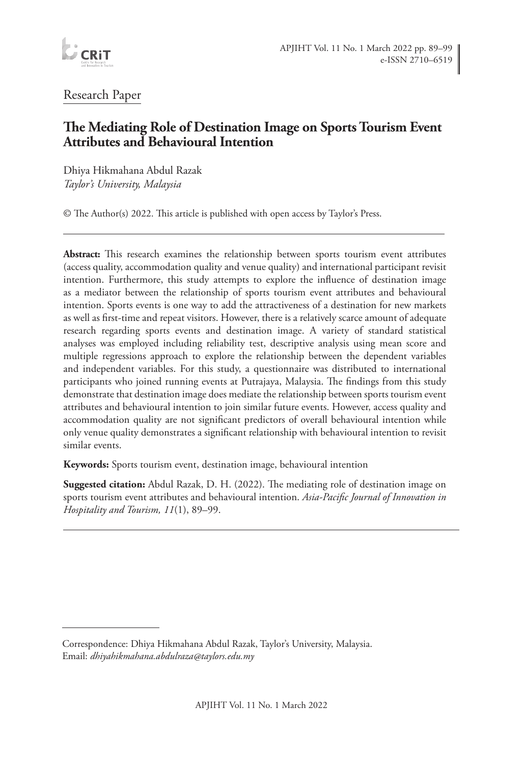

# Research Paper

# **The Mediating Role of Destination Image on Sports Tourism Event Attributes and Behavioural Intention**

Dhiya Hikmahana Abdul Razak *Taylor's University, Malaysia*

© The Author(s) 2022. This article is published with open access by Taylor's Press.

**Abstract:** This research examines the relationship between sports tourism event attributes (access quality, accommodation quality and venue quality) and international participant revisit intention. Furthermore, this study attempts to explore the influence of destination image as a mediator between the relationship of sports tourism event attributes and behavioural intention. Sports events is one way to add the attractiveness of a destination for new markets as well as first-time and repeat visitors. However, there is a relatively scarce amount of adequate research regarding sports events and destination image. A variety of standard statistical analyses was employed including reliability test, descriptive analysis using mean score and multiple regressions approach to explore the relationship between the dependent variables and independent variables. For this study, a questionnaire was distributed to international participants who joined running events at Putrajaya, Malaysia. The findings from this study demonstrate that destination image does mediate the relationship between sports tourism event attributes and behavioural intention to join similar future events. However, access quality and accommodation quality are not significant predictors of overall behavioural intention while only venue quality demonstrates a significant relationship with behavioural intention to revisit similar events.

**Keywords:** Sports tourism event, destination image, behavioural intention

**Suggested citation:** Abdul Razak, D. H. (2022). The mediating role of destination image on sports tourism event attributes and behavioural intention. *Asia-Pacific Journal of Innovation in Hospitality and Tourism, 11*(1), 89–99.

Correspondence: Dhiya Hikmahana Abdul Razak, Taylor's University, Malaysia. Email: *dhiyahikmahana.abdulraza@taylors.edu.my*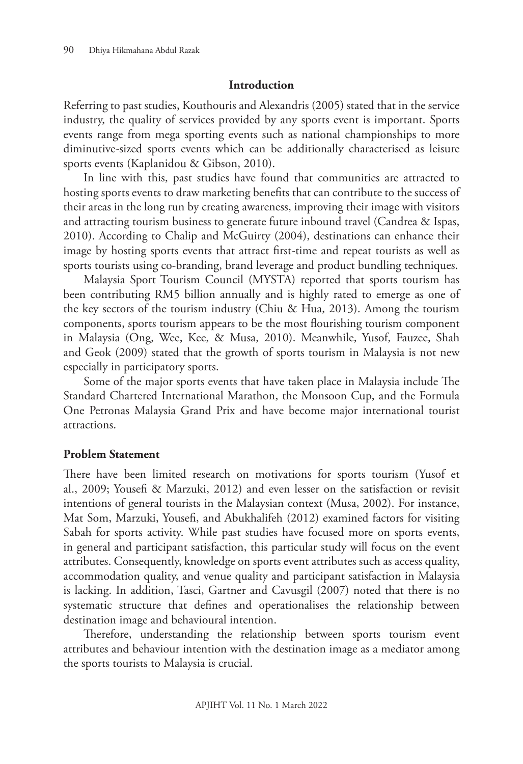#### **Introduction**

Referring to past studies, Kouthouris and Alexandris (2005) stated that in the service industry, the quality of services provided by any sports event is important. Sports events range from mega sporting events such as national championships to more diminutive-sized sports events which can be additionally characterised as leisure sports events (Kaplanidou & Gibson, 2010).

In line with this, past studies have found that communities are attracted to hosting sports events to draw marketing benefits that can contribute to the success of their areas in the long run by creating awareness, improving their image with visitors and attracting tourism business to generate future inbound travel (Candrea & Ispas, 2010). According to Chalip and McGuirty (2004), destinations can enhance their image by hosting sports events that attract first-time and repeat tourists as well as sports tourists using co-branding, brand leverage and product bundling techniques.

Malaysia Sport Tourism Council (MYSTA) reported that sports tourism has been contributing RM5 billion annually and is highly rated to emerge as one of the key sectors of the tourism industry (Chiu & Hua, 2013). Among the tourism components, sports tourism appears to be the most flourishing tourism component in Malaysia (Ong, Wee, Kee, & Musa, 2010). Meanwhile, Yusof, Fauzee, Shah and Geok (2009) stated that the growth of sports tourism in Malaysia is not new especially in participatory sports.

Some of the major sports events that have taken place in Malaysia include The Standard Chartered International Marathon, the Monsoon Cup, and the Formula One Petronas Malaysia Grand Prix and have become major international tourist attractions.

### **Problem Statement**

There have been limited research on motivations for sports tourism (Yusof et al., 2009; Yousefi & Marzuki, 2012) and even lesser on the satisfaction or revisit intentions of general tourists in the Malaysian context (Musa, 2002). For instance, Mat Som, Marzuki, Yousefi, and Abukhalifeh (2012) examined factors for visiting Sabah for sports activity. While past studies have focused more on sports events, in general and participant satisfaction, this particular study will focus on the event attributes. Consequently, knowledge on sports event attributes such as access quality, accommodation quality, and venue quality and participant satisfaction in Malaysia is lacking. In addition, Tasci, Gartner and Cavusgil (2007) noted that there is no systematic structure that defines and operationalises the relationship between destination image and behavioural intention.

Therefore, understanding the relationship between sports tourism event attributes and behaviour intention with the destination image as a mediator among the sports tourists to Malaysia is crucial.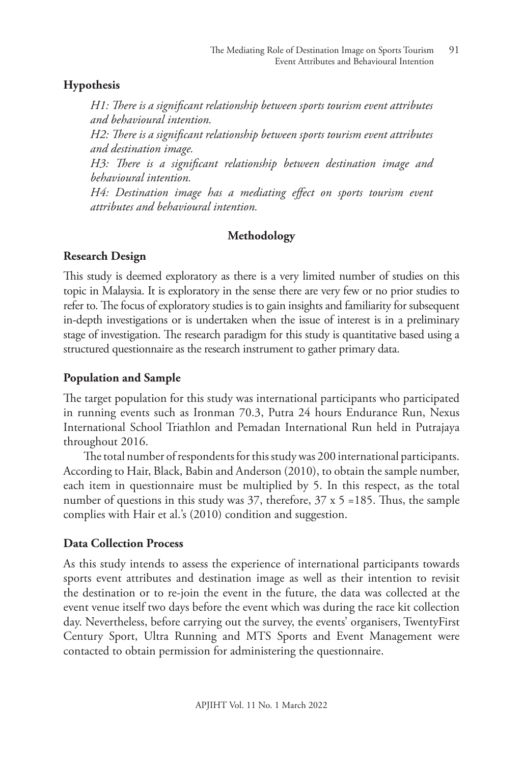### **Hypothesis**

*H1: There is a significant relationship between sports tourism event attributes and behavioural intention.*

*H2: There is a significant relationship between sports tourism event attributes and destination image.*

*H3: There is a significant relationship between destination image and behavioural intention.*

*H4: Destination image has a mediating effect on sports tourism event attributes and behavioural intention.* 

### **Methodology**

#### **Research Design**

This study is deemed exploratory as there is a very limited number of studies on this topic in Malaysia. It is exploratory in the sense there are very few or no prior studies to refer to. The focus of exploratory studies is to gain insights and familiarity for subsequent in-depth investigations or is undertaken when the issue of interest is in a preliminary stage of investigation. The research paradigm for this study is quantitative based using a structured questionnaire as the research instrument to gather primary data.

### **Population and Sample**

The target population for this study was international participants who participated in running events such as Ironman 70.3, Putra 24 hours Endurance Run, Nexus International School Triathlon and Pemadan International Run held in Putrajaya throughout 2016.

The total number of respondents for this study was 200 international participants. According to Hair, Black, Babin and Anderson (2010), to obtain the sample number, each item in questionnaire must be multiplied by 5. In this respect, as the total number of questions in this study was 37, therefore,  $37 \times 5 = 185$ . Thus, the sample complies with Hair et al.'s (2010) condition and suggestion.

#### **Data Collection Process**

As this study intends to assess the experience of international participants towards sports event attributes and destination image as well as their intention to revisit the destination or to re-join the event in the future, the data was collected at the event venue itself two days before the event which was during the race kit collection day. Nevertheless, before carrying out the survey, the events' organisers, TwentyFirst Century Sport, Ultra Running and MTS Sports and Event Management were contacted to obtain permission for administering the questionnaire.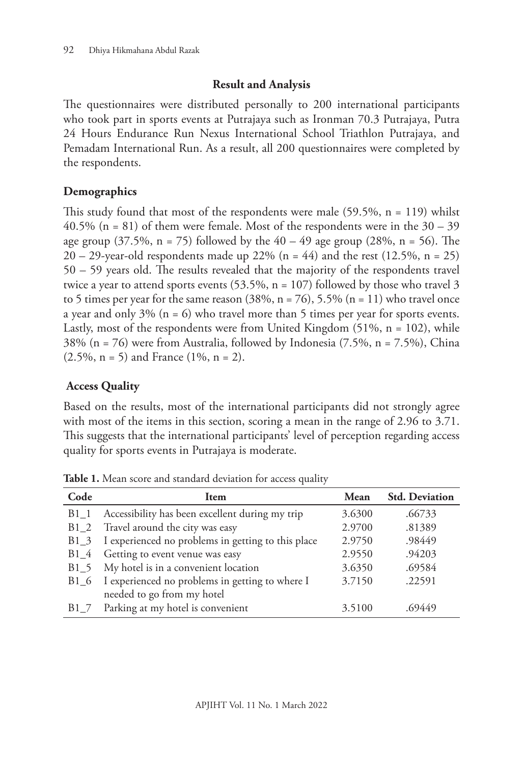### **Result and Analysis**

The questionnaires were distributed personally to 200 international participants who took part in sports events at Putrajaya such as Ironman 70.3 Putrajaya, Putra 24 Hours Endurance Run Nexus International School Triathlon Putrajaya, and Pemadam International Run. As a result, all 200 questionnaires were completed by the respondents.

# **Demographics**

This study found that most of the respondents were male  $(59.5\%, n = 119)$  whilst 40.5% (n = 81) of them were female. Most of the respondents were in the  $30 - 39$ age group (37.5%,  $n = 75$ ) followed by the 40 – 49 age group (28%,  $n = 56$ ). The  $20 - 29$ -year-old respondents made up  $22\%$  (n = 44) and the rest (12.5%, n = 25) 50 – 59 years old. The results revealed that the majority of the respondents travel twice a year to attend sports events  $(53.5\%, n = 107)$  followed by those who travel 3 to 5 times per year for the same reason  $(38\%, n = 76)$ , 5.5%  $(n = 11)$  who travel once a year and only 3% ( $n = 6$ ) who travel more than 5 times per year for sports events. Lastly, most of the respondents were from United Kingdom  $(51\% , n = 102)$ , while 38% (n = 76) were from Australia, followed by Indonesia (7.5%, n = 7.5%), China  $(2.5\%, n = 5)$  and France  $(1\%, n = 2)$ .

# **Access Quality**

Based on the results, most of the international participants did not strongly agree with most of the items in this section, scoring a mean in the range of 2.96 to 3.71. This suggests that the international participants' level of perception regarding access quality for sports events in Putrajaya is moderate.

| Code | Item                                               | Mean   | <b>Std. Deviation</b> |
|------|----------------------------------------------------|--------|-----------------------|
| B1 1 | Accessibility has been excellent during my trip    | 3.6300 | .66733                |
| B1 2 | Travel around the city was easy                    | 2.9700 | .81389                |
| B1 3 | I experienced no problems in getting to this place | 2.9750 | .98449                |
| B1 4 | Getting to event venue was easy                    | 2.9550 | .94203                |
| B1 5 | My hotel is in a convenient location               | 3.6350 | .69584                |
| B1 6 | I experienced no problems in getting to where I    | 3.7150 | .22591                |
|      | needed to go from my hotel                         |        |                       |
| B1 7 | Parking at my hotel is convenient                  | 3.5100 | 69449                 |

**Table 1.** Mean score and standard deviation for access quality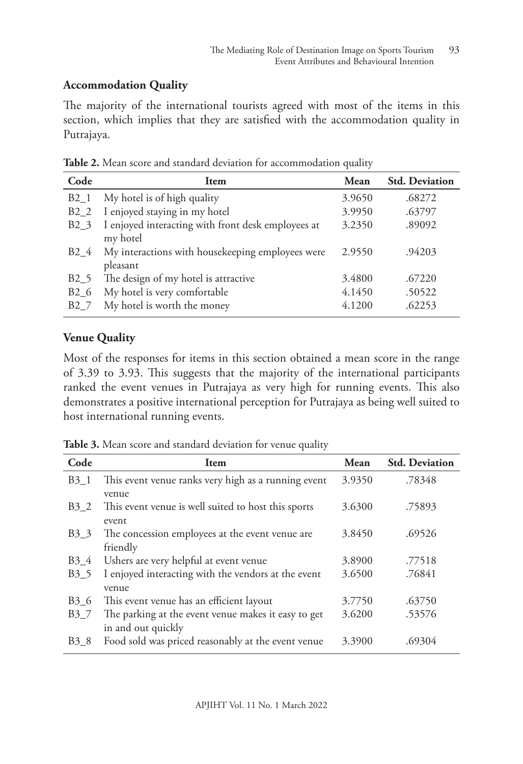### **Accommodation Quality**

The majority of the international tourists agreed with most of the items in this section, which implies that they are satisfied with the accommodation quality in Putrajaya.

| Code             | <b>Item</b>                                                    | Mean   | <b>Std. Deviation</b> |
|------------------|----------------------------------------------------------------|--------|-----------------------|
| B <sub>2</sub> 1 | My hotel is of high quality                                    | 3.9650 | .68272                |
| $B2_2$           | I enjoyed staying in my hotel                                  | 3.9950 | .63797                |
| B <sub>2</sub> 3 | I enjoyed interacting with front desk employees at<br>my hotel | 3.2350 | .89092                |
| B <sub>2</sub> 4 | My interactions with housekeeping employees were<br>pleasant   | 2.9550 | .94203                |
| B <sub>2</sub> 5 | The design of my hotel is attractive                           | 3.4800 | .67220                |
| B <sub>2</sub> 6 | My hotel is very comfortable                                   | 4.1450 | .50522                |
| B <sub>2</sub> 7 | My hotel is worth the money                                    | 4.1200 | .62253                |

**Table 2.** Mean score and standard deviation for accommodation quality

## **Venue Quality**

Most of the responses for items in this section obtained a mean score in the range of 3.39 to 3.93. This suggests that the majority of the international participants ranked the event venues in Putrajaya as very high for running events. This also demonstrates a positive international perception for Putrajaya as being well suited to host international running events.

**Table 3.** Mean score and standard deviation for venue quality

| Code             | Item                                                                      | Mean   | <b>Std. Deviation</b> |
|------------------|---------------------------------------------------------------------------|--------|-----------------------|
| $B3_1$           | This event venue ranks very high as a running event<br>venue              | 3.9350 | .78348                |
| B <sub>3</sub> 2 | This event venue is well suited to host this sports<br>event              | 3.6300 | .75893                |
| B <sub>3</sub> 3 | The concession employees at the event venue are<br>friendly               | 3.8450 | .69526                |
| B <sub>3</sub> 4 | Ushers are very helpful at event venue                                    | 3.8900 | .77518                |
| B <sub>3</sub> 5 | I enjoyed interacting with the vendors at the event<br>venue              | 3.6500 | .76841                |
| B <sub>3</sub> 6 | This event venue has an efficient layout                                  | 3.7750 | .63750                |
| B37              | The parking at the event venue makes it easy to get<br>in and out quickly | 3.6200 | .53576                |
| B <sub>3</sub> 8 | Food sold was priced reasonably at the event venue                        | 3.3900 | .69304                |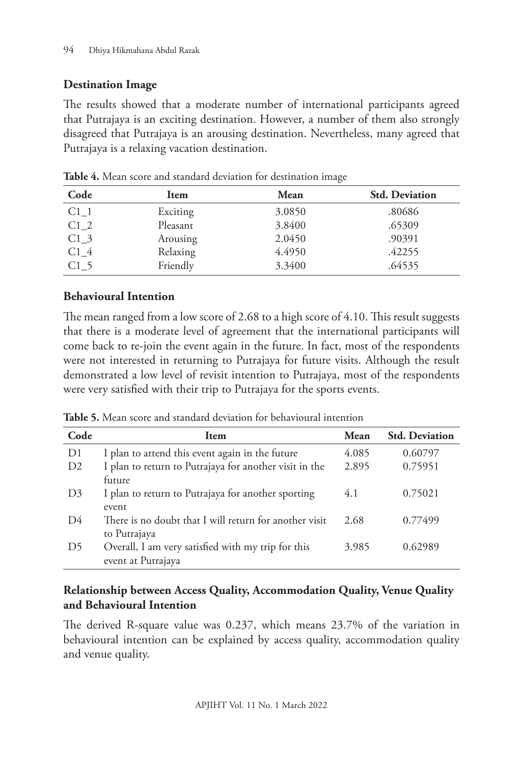### **Destination Image**

The results showed that a moderate number of international participants agreed that Putrajaya is an exciting destination. However, a number of them also strongly disagreed that Putrajaya is an arousing destination. Nevertheless, many agreed that Putrajaya is a relaxing vacation destination.

| Code            | Item     | Mean   | <b>Std. Deviation</b> |
|-----------------|----------|--------|-----------------------|
| C1 1            | Exciting | 3.0850 | .80686                |
| C12             | Pleasant | 3.8400 | .65309                |
| C1 <sub>3</sub> | Arousing | 2.0450 | .90391                |
| C14             | Relaxing | 4.4950 | .42255                |
| C1 <sub>5</sub> | Friendly | 3.3400 | .64535                |

**Table 4.** Mean score and standard deviation for destination image

### **Behavioural Intention**

The mean ranged from a low score of 2.68 to a high score of 4.10. This result suggests that there is a moderate level of agreement that the international participants will come back to re-join the event again in the future. In fact, most of the respondents were not interested in returning to Putrajaya for future visits. Although the result demonstrated a low level of revisit intention to Putrajaya, most of the respondents were very satisfied with their trip to Putrajaya for the sports events.

**Table 5.** Mean score and standard deviation for behavioural intention

| Code           | Item                                                   | Mean  | <b>Std. Deviation</b> |
|----------------|--------------------------------------------------------|-------|-----------------------|
| D1             | I plan to attend this event again in the future        | 4.085 | 0.60797               |
| D <sub>2</sub> | I plan to return to Putrajaya for another visit in the | 2.895 | 0.75951               |
|                | future                                                 |       |                       |
| D <sub>3</sub> | I plan to return to Putrajaya for another sporting     | 4.1   | 0.75021               |
|                | event                                                  |       |                       |
| D4             | There is no doubt that I will return for another visit | 2.68  | 0.77499               |
|                | to Putrajaya                                           |       |                       |
| D5             | Overall, I am very satisfied with my trip for this     | 3.985 | 0.62989               |
|                | event at Putrajaya                                     |       |                       |

### **Relationship between Access Quality, Accommodation Quality, Venue Quality and Behavioural Intention**

The derived R-square value was 0.237, which means 23.7% of the variation in behavioural intention can be explained by access quality, accommodation quality and venue quality.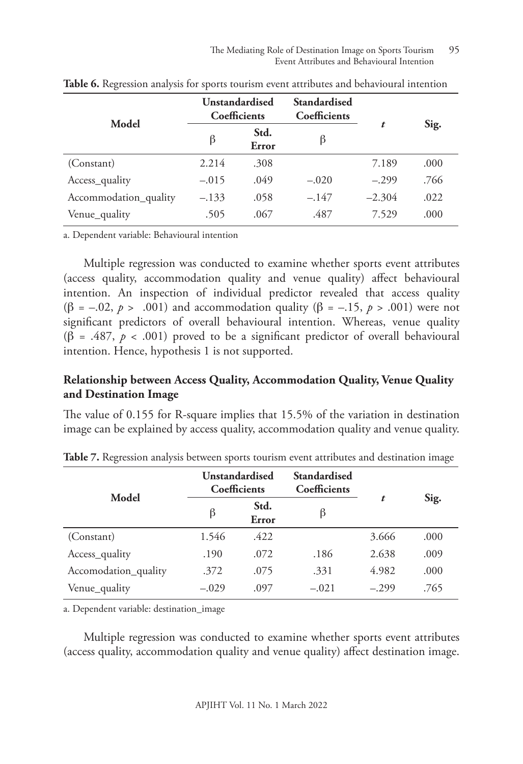| Model                 | <b>Unstandardised</b><br><b>Coefficients</b> |               | Standardised<br>Coefficients |          |      |
|-----------------------|----------------------------------------------|---------------|------------------------------|----------|------|
|                       | β                                            | Std.<br>Error | ß                            | t        | Sig. |
| (Constant)            | 2.214                                        | .308          |                              | 7.189    | .000 |
| Access_quality        | $-.015$                                      | .049          | $-.020$                      | $-.299$  | .766 |
| Accommodation_quality | $-.133$                                      | .058          | $-.147$                      | $-2.304$ | .022 |
| Venue_quality         | .505                                         | .067          | .487                         | 7.529    | .000 |

**Table 6.** Regression analysis for sports tourism event attributes and behavioural intention

a. Dependent variable: Behavioural intention

Multiple regression was conducted to examine whether sports event attributes (access quality, accommodation quality and venue quality) affect behavioural intention. An inspection of individual predictor revealed that access quality ( $\beta$  = –.02, *p* > .001) and accommodation quality ( $\beta$  = –.15, *p* > .001) were not significant predictors of overall behavioural intention. Whereas, venue quality (β = .487, *p* < .001) proved to be a significant predictor of overall behavioural intention. Hence, hypothesis 1 is not supported.

### **Relationship between Access Quality, Accommodation Quality, Venue Quality and Destination Image**

The value of 0.155 for R-square implies that 15.5% of the variation in destination image can be explained by access quality, accommodation quality and venue quality.

| Model                |         | <b>Unstandardised</b><br><b>Coefficients</b> | Standardised<br>Coefficients |         |      |
|----------------------|---------|----------------------------------------------|------------------------------|---------|------|
|                      | β       | Std.<br>Error                                |                              | t       | Sig. |
| (Constant)           | 1.546   | .422                                         |                              | 3.666   | .000 |
| Access_quality       | .190    | .072                                         | .186                         | 2.638   | .009 |
| Accomodation_quality | .372    | .075                                         | .331                         | 4.982   | .000 |
| Venue_quality        | $-.029$ | .097                                         | $-.021$                      | $-.299$ | .765 |

**Table 7.** Regression analysis between sports tourism event attributes and destination image

a. Dependent variable: destination\_image

Multiple regression was conducted to examine whether sports event attributes (access quality, accommodation quality and venue quality) affect destination image.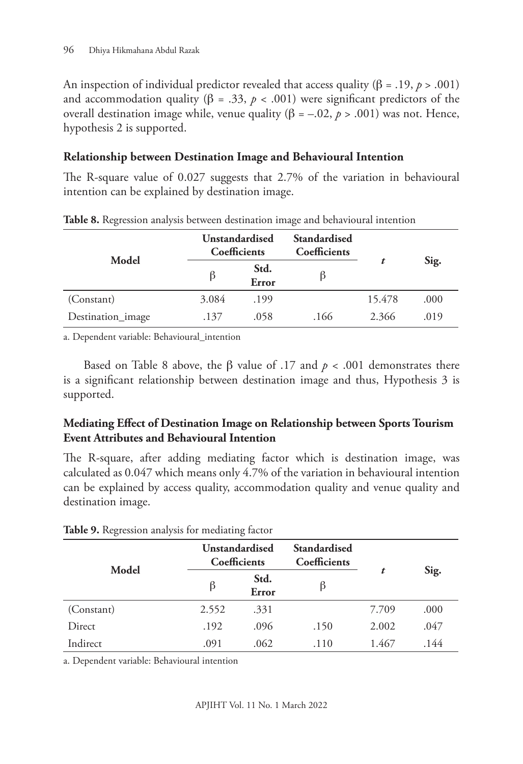An inspection of individual predictor revealed that access quality ( $\beta = .19$ ,  $p > .001$ ) and accommodation quality ( $\beta = .33$ ,  $p < .001$ ) were significant predictors of the overall destination image while, venue quality ( $β = -.02, p > .001$ ) was not. Hence, hypothesis 2 is supported.

### **Relationship between Destination Image and Behavioural Intention**

The R-square value of 0.027 suggests that 2.7% of the variation in behavioural intention can be explained by destination image.

| Model             | <b>Unstandardised</b><br>Coefficients |               | Standardised<br>Coefficients |        |      |
|-------------------|---------------------------------------|---------------|------------------------------|--------|------|
|                   | $\beta$                               | Std.<br>Error |                              |        | Sig. |
| (Constant)        | 3.084                                 | .199          |                              | 15.478 | .000 |
| Destination_image | .137                                  | .058          | .166                         | 2.366  | .019 |

**Table 8.** Regression analysis between destination image and behavioural intention

a. Dependent variable: Behavioural\_intention

Based on Table 8 above, the β value of .17 and  $p < .001$  demonstrates there is a significant relationship between destination image and thus, Hypothesis 3 is supported.

## **Mediating Effect of Destination Image on Relationship between Sports Tourism Event Attributes and Behavioural Intention**

The R-square, after adding mediating factor which is destination image, was calculated as 0.047 which means only 4.7% of the variation in behavioural intention can be explained by access quality, accommodation quality and venue quality and destination image.

|            | Unstandardised<br>Coefficients |               | Standardised<br>Coefficients |       |      |
|------------|--------------------------------|---------------|------------------------------|-------|------|
| Model      | β                              | Std.<br>Error |                              | t     | Sig. |
| (Constant) | 2.552                          | .331          |                              | 7.709 | .000 |
| Direct     | .192                           | .096          | .150                         | 2.002 | .047 |
| Indirect   | .091                           | .062          | .110                         | 1.467 | .144 |

**Table 9.** Regression analysis for mediating factor

a. Dependent variable: Behavioural intention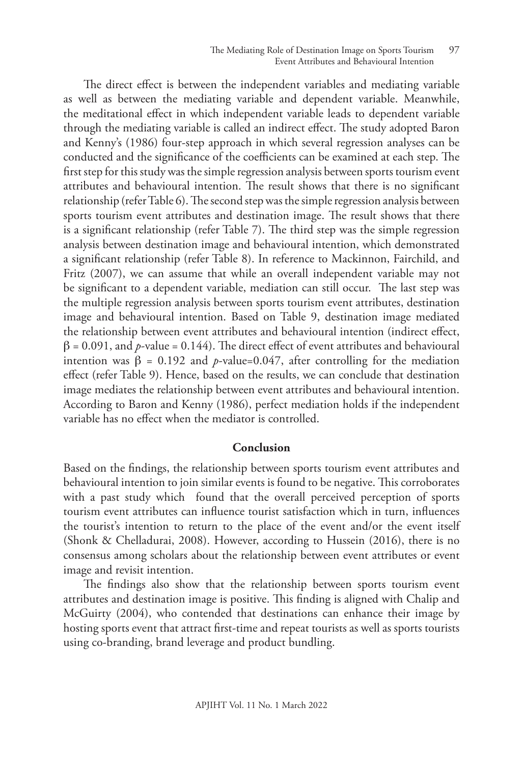The direct effect is between the independent variables and mediating variable as well as between the mediating variable and dependent variable. Meanwhile, the meditational effect in which independent variable leads to dependent variable through the mediating variable is called an indirect effect. The study adopted Baron and Kenny's (1986) four-step approach in which several regression analyses can be conducted and the significance of the coefficients can be examined at each step. The first step for this study was the simple regression analysis between sports tourism event attributes and behavioural intention. The result shows that there is no significant relationship (refer Table 6). The second step was the simple regression analysis between sports tourism event attributes and destination image. The result shows that there is a significant relationship (refer Table 7). The third step was the simple regression analysis between destination image and behavioural intention, which demonstrated a significant relationship (refer Table 8). In reference to Mackinnon, Fairchild, and Fritz (2007), we can assume that while an overall independent variable may not be significant to a dependent variable, mediation can still occur. The last step was the multiple regression analysis between sports tourism event attributes, destination image and behavioural intention. Based on Table 9, destination image mediated the relationship between event attributes and behavioural intention (indirect effect,  $\beta$  = 0.091, and *p*-value = 0.144). The direct effect of event attributes and behavioural intention was  $β = 0.192$  and *p*-value=0.047, after controlling for the mediation effect (refer Table 9). Hence, based on the results, we can conclude that destination image mediates the relationship between event attributes and behavioural intention. According to Baron and Kenny (1986), perfect mediation holds if the independent variable has no effect when the mediator is controlled.

#### **Conclusion**

Based on the findings, the relationship between sports tourism event attributes and behavioural intention to join similar events is found to be negative. This corroborates with a past study which found that the overall perceived perception of sports tourism event attributes can influence tourist satisfaction which in turn, influences the tourist's intention to return to the place of the event and/or the event itself (Shonk & Chelladurai, 2008). However, according to Hussein (2016), there is no consensus among scholars about the relationship between event attributes or event image and revisit intention.

The findings also show that the relationship between sports tourism event attributes and destination image is positive. This finding is aligned with Chalip and McGuirty (2004), who contended that destinations can enhance their image by hosting sports event that attract first-time and repeat tourists as well as sports tourists using co-branding, brand leverage and product bundling.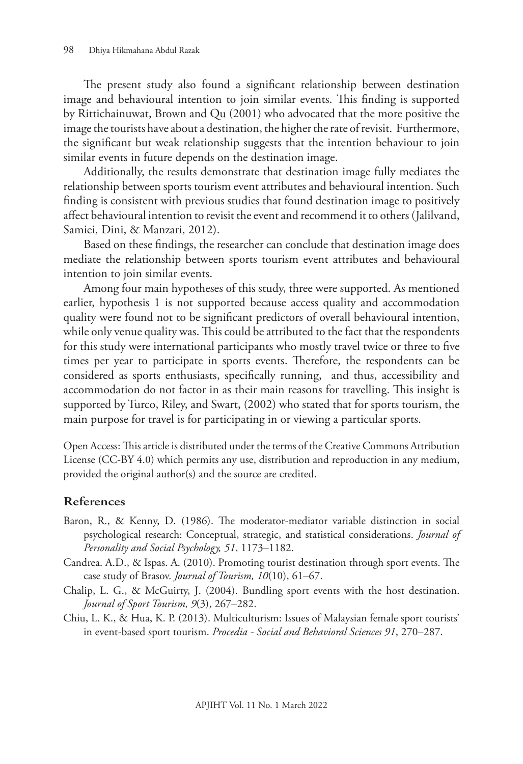The present study also found a significant relationship between destination image and behavioural intention to join similar events. This finding is supported by Rittichainuwat, Brown and Qu (2001) who advocated that the more positive the image the tourists have about a destination, the higher the rate of revisit. Furthermore, the significant but weak relationship suggests that the intention behaviour to join similar events in future depends on the destination image.

Additionally, the results demonstrate that destination image fully mediates the relationship between sports tourism event attributes and behavioural intention. Such finding is consistent with previous studies that found destination image to positively affect behavioural intention to revisit the event and recommend it to others (Jalilvand, Samiei, Dini, & Manzari, 2012).

Based on these findings, the researcher can conclude that destination image does mediate the relationship between sports tourism event attributes and behavioural intention to join similar events.

Among four main hypotheses of this study, three were supported. As mentioned earlier, hypothesis 1 is not supported because access quality and accommodation quality were found not to be significant predictors of overall behavioural intention, while only venue quality was. This could be attributed to the fact that the respondents for this study were international participants who mostly travel twice or three to five times per year to participate in sports events. Therefore, the respondents can be considered as sports enthusiasts, specifically running, and thus, accessibility and accommodation do not factor in as their main reasons for travelling. This insight is supported by Turco, Riley, and Swart, (2002) who stated that for sports tourism, the main purpose for travel is for participating in or viewing a particular sports.

Open Access: This article is distributed under the terms of the Creative Commons Attribution License (CC-BY 4.0) which permits any use, distribution and reproduction in any medium, provided the original author(s) and the source are credited.

#### **References**

- Baron, R., & Kenny, D. (1986). The moderator-mediator variable distinction in social psychological research: Conceptual, strategic, and statistical considerations. *Journal of Personality and Social Psychology, 51*, 1173–1182.
- Candrea. A.D., & Ispas. A. (2010). Promoting tourist destination through sport events. The case study of Brasov. *Journal of Tourism, 10*(10), 61–67.
- Chalip, L. G., & McGuirty, J. (2004). Bundling sport events with the host destination. *Journal of Sport Tourism, 9*(3), 267–282.
- Chiu, L. K., & Hua, K. P. (2013). Multiculturism: Issues of Malaysian female sport tourists' in event-based sport tourism. *Procedia - Social and Behavioral Sciences 91*, 270–287.